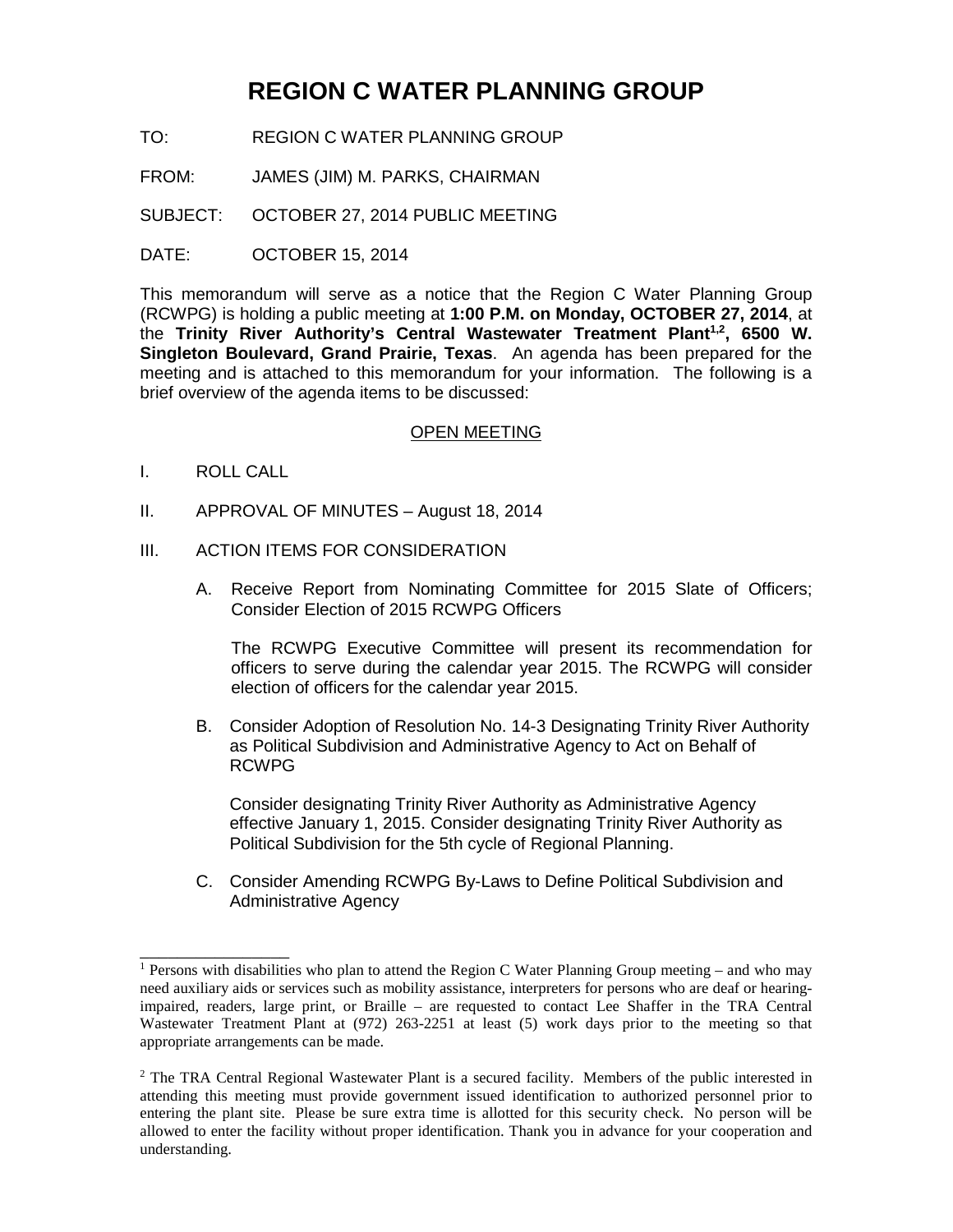# **REGION C WATER PLANNING GROUP**

- TO: REGION C WATER PLANNING GROUP
- FROM: JAMES (JIM) M. PARKS, CHAIRMAN
- SUBJECT: OCTOBER 27, 2014 PUBLIC MEETING
- DATE: **OCTOBER 15, 2014**

This memorandum will serve as a notice that the Region C Water Planning Group (RCWPG) is holding a public meeting at **1:00 P.M. on Monday, OCTOBER 27, 2014**, at the Trinity River Authority's Central Wastewater Treatment Plant<sup>1,2</sup>, 6500 W. **Singleton Boulevard, Grand Prairie, Texas**. An agenda has been prepared for the meeting and is attached to this memorandum for your information. The following is a brief overview of the agenda items to be discussed:

#### OPEN MEETING

I. ROLL CALL

\_\_\_\_\_\_\_\_\_\_\_\_\_\_\_\_

- II. APPROVAL OF MINUTES August 18, 2014
- III. ACTION ITEMS FOR CONSIDERATION
	- A. Receive Report from Nominating Committee for 2015 Slate of Officers; Consider Election of 2015 RCWPG Officers

The RCWPG Executive Committee will present its recommendation for officers to serve during the calendar year 2015. The RCWPG will consider election of officers for the calendar year 2015.

B. Consider Adoption of Resolution No. 14-3 Designating Trinity River Authority as Political Subdivision and Administrative Agency to Act on Behalf of RCWPG

Consider designating Trinity River Authority as Administrative Agency effective January 1, 2015. Consider designating Trinity River Authority as Political Subdivision for the 5th cycle of Regional Planning.

C. Consider Amending RCWPG By-Laws to Define Political Subdivision and Administrative Agency

<sup>&</sup>lt;sup>1</sup> Persons with disabilities who plan to attend the Region C Water Planning Group meeting – and who may need auxiliary aids or services such as mobility assistance, interpreters for persons who are deaf or hearingimpaired, readers, large print, or Braille – are requested to contact Lee Shaffer in the TRA Central Wastewater Treatment Plant at (972) 263-2251 at least (5) work days prior to the meeting so that appropriate arrangements can be made.

<sup>&</sup>lt;sup>2</sup> The TRA Central Regional Wastewater Plant is a secured facility. Members of the public interested in attending this meeting must provide government issued identification to authorized personnel prior to entering the plant site. Please be sure extra time is allotted for this security check. No person will be allowed to enter the facility without proper identification. Thank you in advance for your cooperation and understanding.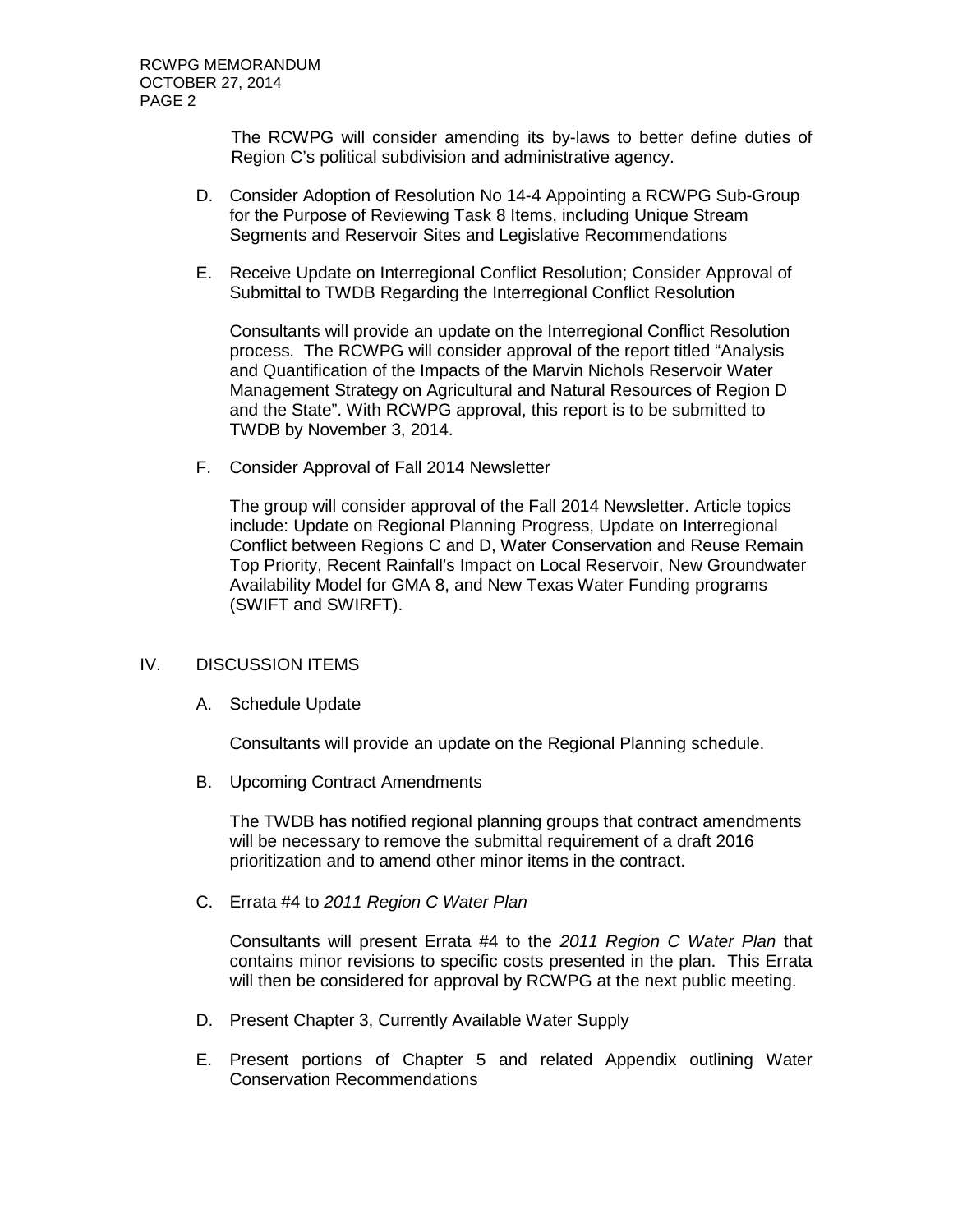The RCWPG will consider amending its by-laws to better define duties of Region C's political subdivision and administrative agency.

- D. Consider Adoption of Resolution No 14-4 Appointing a RCWPG Sub-Group for the Purpose of Reviewing Task 8 Items, including Unique Stream Segments and Reservoir Sites and Legislative Recommendations
- E. Receive Update on Interregional Conflict Resolution; Consider Approval of Submittal to TWDB Regarding the Interregional Conflict Resolution

Consultants will provide an update on the Interregional Conflict Resolution process. The RCWPG will consider approval of the report titled "Analysis and Quantification of the Impacts of the Marvin Nichols Reservoir Water Management Strategy on Agricultural and Natural Resources of Region D and the State". With RCWPG approval, this report is to be submitted to TWDB by November 3, 2014.

F. Consider Approval of Fall 2014 Newsletter

The group will consider approval of the Fall 2014 Newsletter. Article topics include: Update on Regional Planning Progress, Update on Interregional Conflict between Regions C and D, Water Conservation and Reuse Remain Top Priority, Recent Rainfall's Impact on Local Reservoir, New Groundwater Availability Model for GMA 8, and New Texas Water Funding programs (SWIFT and SWIRFT).

#### IV. DISCUSSION ITEMS

A. Schedule Update

Consultants will provide an update on the Regional Planning schedule.

B. Upcoming Contract Amendments

The TWDB has notified regional planning groups that contract amendments will be necessary to remove the submittal requirement of a draft 2016 prioritization and to amend other minor items in the contract.

C. Errata #4 to *2011 Region C Water Plan*

Consultants will present Errata #4 to the *2011 Region C Water Plan* that contains minor revisions to specific costs presented in the plan. This Errata will then be considered for approval by RCWPG at the next public meeting.

- D. Present Chapter 3, Currently Available Water Supply
- E. Present portions of Chapter 5 and related Appendix outlining Water Conservation Recommendations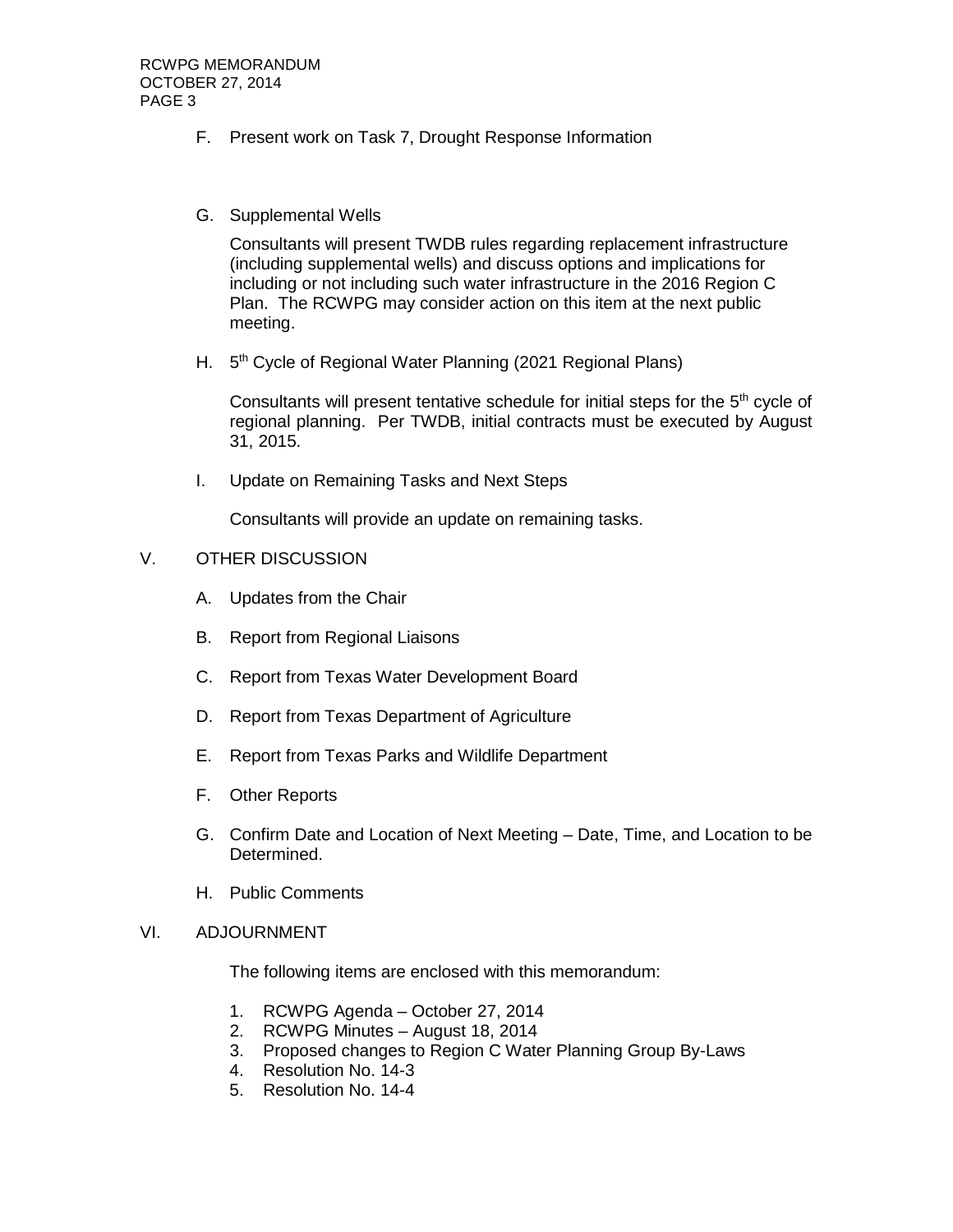- F. Present work on Task 7, Drought Response Information
- G. Supplemental Wells

Consultants will present TWDB rules regarding replacement infrastructure (including supplemental wells) and discuss options and implications for including or not including such water infrastructure in the 2016 Region C Plan. The RCWPG may consider action on this item at the next public meeting.

H. 5<sup>th</sup> Cycle of Regional Water Planning (2021 Regional Plans)

Consultants will present tentative schedule for initial steps for the  $5<sup>th</sup>$  cycle of regional planning. Per TWDB, initial contracts must be executed by August 31, 2015.

I. Update on Remaining Tasks and Next Steps

Consultants will provide an update on remaining tasks.

## V. OTHER DISCUSSION

- A. Updates from the Chair
- B. Report from Regional Liaisons
- C. Report from Texas Water Development Board
- D. Report from Texas Department of Agriculture
- E. Report from Texas Parks and Wildlife Department
- F. Other Reports
- G. Confirm Date and Location of Next Meeting Date, Time, and Location to be Determined.
- H. Public Comments

### VI. ADJOURNMENT

The following items are enclosed with this memorandum:

- 1. RCWPG Agenda October 27, 2014
- 2. RCWPG Minutes August 18, 2014
- 3. Proposed changes to Region C Water Planning Group By-Laws
- 4. Resolution No. 14-3
- 5. Resolution No. 14-4